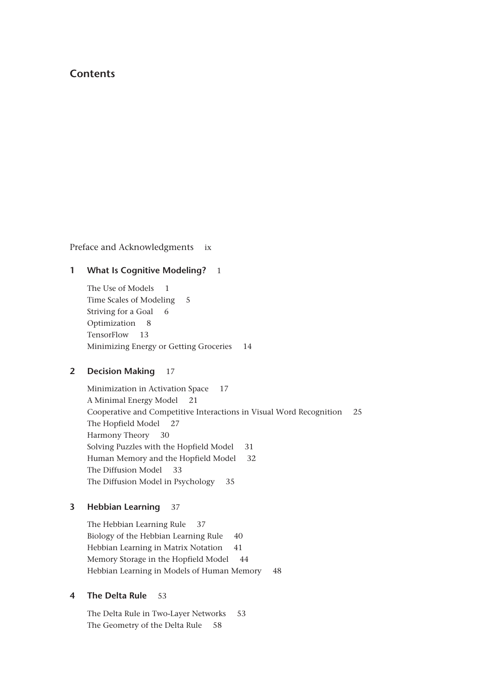# **Contents**

Preface and Acknowledgments ix

## **1 What Is Cognitive Modeling?** 1

The Use of Models 1 Time Scales of Modeling 5 Striving for a Goal 6 Optimization 8 TensorFlow 13 Minimizing Energy or Getting Groceries 14

### **2 Decision Making** 17

Minimization in Activation Space 17 A Minimal Energy Model 21 Cooperative and Competitive Interactions in Visual Word Recognition 25 The Hopfield Model 27 Harmony Theory 30 Solving Puzzles with the Hopfield Model 31 Human Memory and the Hopfield Model 32 The Diffusion Model 33 The Diffusion Model in Psychology 35

### **3 Hebbian Learning** 37

The Hebbian Learning Rule 37 Biology of the Hebbian Learning Rule 40 Hebbian Learning in Matrix Notation 41 Memory Storage in the Hopfield Model 44 Hebbian Learning in Models of Human Memory 48

## **4 The Delta Rule** 53

The Delta Rule in Two-Layer Networks 53 The Geometry of the Delta Rule 58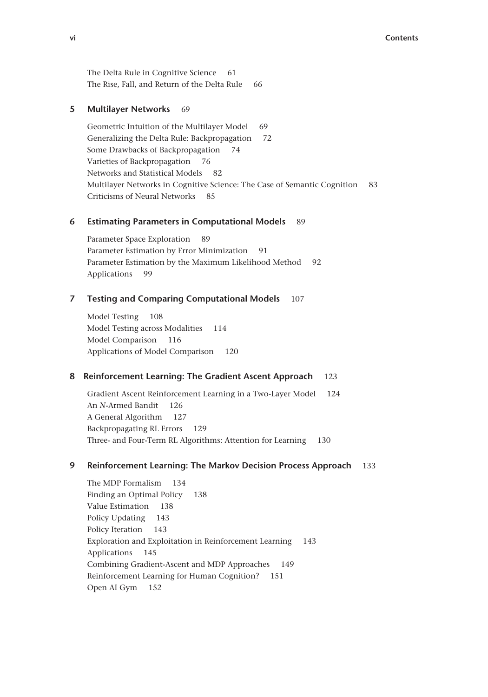The Delta Rule in Cognitive Science 61 The Rise, Fall, and Return of the Delta Rule 66

#### **5 Multilayer Networks** 69

Geometric Intuition of the Multilayer Model 69 Generalizing the Delta Rule: Backpropagation 72 Some Drawbacks of Backpropagation 74 Varieties of Backpropagation 76 Networks and Statistical Models 82 Multilayer Networks in Cognitive Science: The Case of Semantic Cognition 83 Criticisms of Neural Networks 85

#### **6 Estimating Parameters in Computational Models** 89

Parameter Space Exploration 89 Parameter Estimation by Error Minimization 91 Parameter Estimation by the Maximum Likelihood Method 92 Applications 99

#### **7 Testing and Comparing Computational Models** 107

Model Testing 108 Model Testing across Modalities 114 Model Comparison 116 Applications of Model Comparison 120

#### **8 Reinforcement Learning: The Gradient Ascent Approach** 123

Gradient Ascent Reinforcement Learning in a Two-Layer Model 124 An *N*-Armed Bandit 126 A General Algorithm 127 Backpropagating RL Errors 129 Three- and Four-Term RL Algorithms: Attention for Learning 130

### **9 Reinforcement Learning: The Markov Decision Process Approach** 133

The MDP Formalism 134 Finding an Optimal Policy 138 Value Estimation 138 Policy Updating 143 Policy Iteration 143 Exploration and Exploitation in Reinforcement Learning 143 Applications 145 Combining Gradient-Ascent and MDP Approaches 149 Reinforcement Learning for Human Cognition? 151 Open AI Gym 152